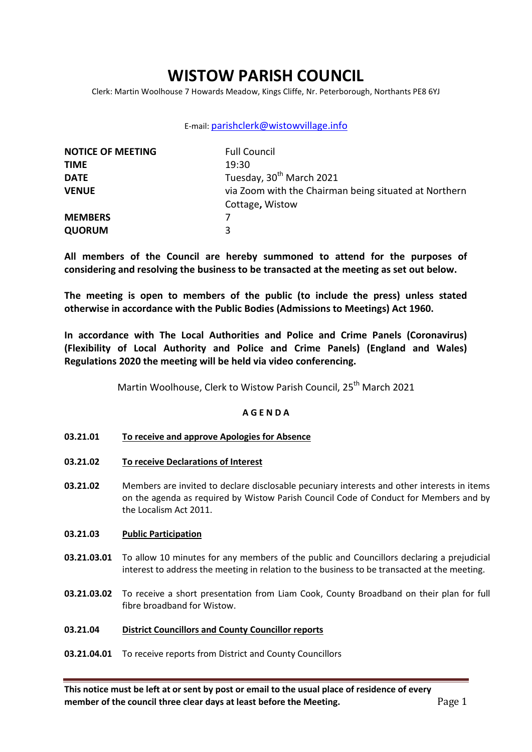# **WISTOW PARISH COUNCIL**

Clerk: Martin Woolhouse 7 Howards Meadow, Kings Cliffe, Nr. Peterborough, Northants PE8 6YJ

# E-mail: [parishclerk@wistowvillage.info](mailto:parishclerk@wistowvillage.info)

| <b>NOTICE OF MEETING</b> | <b>Full Council</b>                                   |  |  |
|--------------------------|-------------------------------------------------------|--|--|
| <b>TIME</b>              | 19:30                                                 |  |  |
| <b>DATE</b>              | Tuesday, 30 <sup>th</sup> March 2021                  |  |  |
| <b>VENUE</b>             | via Zoom with the Chairman being situated at Northern |  |  |
|                          | Cottage, Wistow                                       |  |  |
| <b>MEMBERS</b>           |                                                       |  |  |
| <b>QUORUM</b>            | 3                                                     |  |  |

**All members of the Council are hereby summoned to attend for the purposes of considering and resolving the business to be transacted at the meeting as set out below.** 

**The meeting is open to members of the public (to include the press) unless stated otherwise in accordance with the Public Bodies (Admissions to Meetings) Act 1960.**

**In accordance with The Local Authorities and Police and Crime Panels (Coronavirus) (Flexibility of Local Authority and Police and Crime Panels) (England and Wales) Regulations 2020 the meeting will be held via video conferencing.** 

Martin Woolhouse, Clerk to Wistow Parish Council, 25<sup>th</sup> March 2021

# **A G E N D A**

- **03.21.01 To receive and approve Apologies for Absence**
- **03.21.02 To receive Declarations of Interest**
- **03.21.02** Members are invited to declare disclosable pecuniary interests and other interests in items on the agenda as required by Wistow Parish Council Code of Conduct for Members and by the Localism Act 2011.

#### **03.21.03 Public Participation**

- **03.21.03.01** To allow 10 minutes for any members of the public and Councillors declaring a prejudicial interest to address the meeting in relation to the business to be transacted at the meeting.
- **03.21.03.02** To receive a short presentation from Liam Cook, County Broadband on their plan for full fibre broadband for Wistow.

#### **03.21.04 District Councillors and County Councillor reports**

**03.21.04.01** To receive reports from District and County Councillors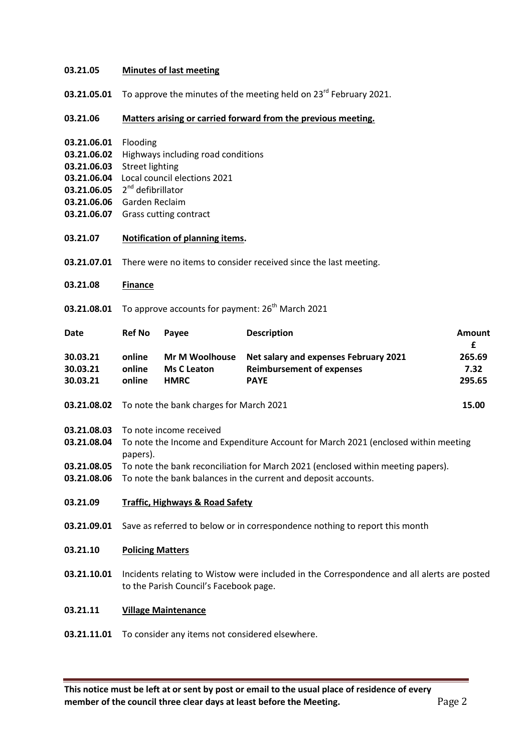#### **03.21.05 Minutes of last meeting**

**03.21.05.01** To approve the minutes of the meeting held on 23<sup>rd</sup> February 2021.

# **03.21.06 Matters arising or carried forward from the previous meeting.**

- **03.21.06.01** Flooding
- **03.21.06.02** Highways including road conditions
- **03.21.06.03** Street lighting
- **03.21.06.04** Local council elections 2021
- **03.21.06.05** 2<sup>nd</sup> defibrillator
- **03.21.06.06** Garden Reclaim
- **03.21.06.07** Grass cutting contract
- **03.21.07 Notification of planning items.**
- **03.21.07.01** There were no items to consider received since the last meeting.
- **03.21.08 Finance**
- 03.21.08.01 To approve accounts for payment: 26<sup>th</sup> March 2021

| Date     | <b>Ref No</b> | Pavee              | <b>Description</b>                                   | Amount |
|----------|---------------|--------------------|------------------------------------------------------|--------|
|          |               |                    |                                                      | £      |
| 30.03.21 | online        |                    | Mr M Woolhouse Net salary and expenses February 2021 | 265.69 |
| 30.03.21 | online        | <b>Ms C Leaton</b> | <b>Reimbursement of expenses</b>                     | 7.32   |
| 30.03.21 | online        | <b>HMRC</b>        | <b>PAYE</b>                                          | 295.65 |
|          |               |                    |                                                      |        |

- **03.21.08.02** To note the bank charges for March 2021 **15.00**
- **03.21.08.03** To note income received
- **03.21.08.04** To note the Income and Expenditure Account for March 2021 (enclosed within meeting papers).
- **03.21.08.05** To note the bank reconciliation for March 2021 (enclosed within meeting papers).
- **03.21.08.06** To note the bank balances in the current and deposit accounts.
- **03.21.09 Traffic, Highways & Road Safety**
- **03.21.09.01** Save as referred to below or in correspondence nothing to report this month

#### **03.21.10 Policing Matters**

- **03.21.10.01** Incidents relating to Wistow were included in the Correspondence and all alerts are posted to the Parish Council's Facebook page.
- **03.21.11 Village Maintenance**

# **03.21.11.01** To consider any items not considered elsewhere.